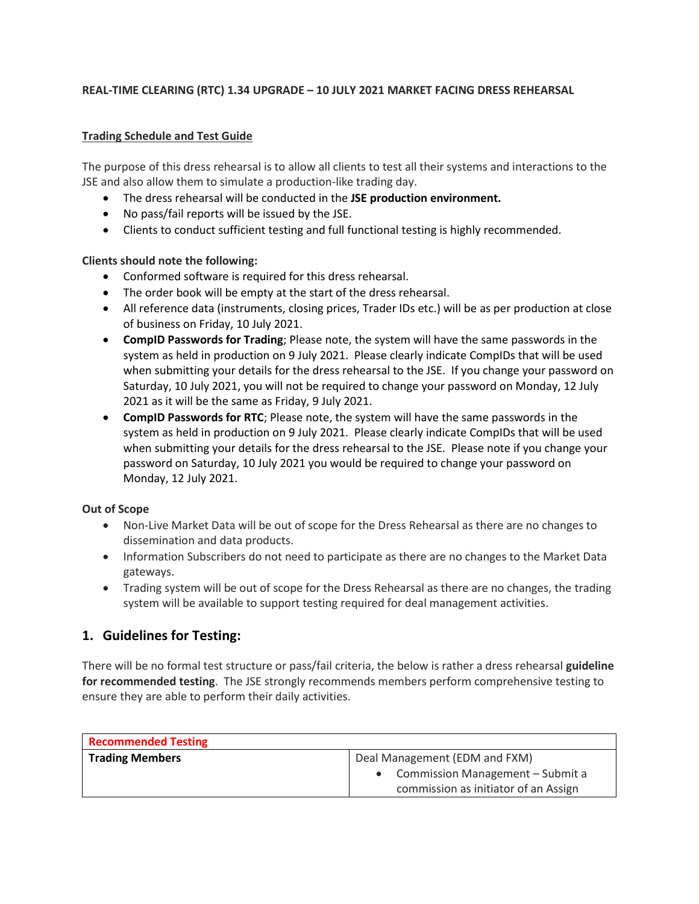#### **REAL-TIME CLEARING (RTC) 1.34 UPGRADE – 10 JULY 2021 MARKET FACING DRESS REHEARSAL**

#### **Trading Schedule and Test Guide**

The purpose of this dress rehearsal is to allow all clients to test all their systems and interactions to the JSE and also allow them to simulate a production-like trading day.

- The dress rehearsal will be conducted in the **JSE production environment.**
- No pass/fail reports will be issued by the JSE.
- Clients to conduct sufficient testing and full functional testing is highly recommended.

#### **Clients should note the following:**

- Conformed software is required for this dress rehearsal.
- The order book will be empty at the start of the dress rehearsal.
- All reference data (instruments, closing prices, Trader IDs etc.) will be as per production at close of business on Friday, 10 July 2021.
- **CompID Passwords for Trading**; Please note, the system will have the same passwords in the system as held in production on 9 July 2021. Please clearly indicate CompIDs that will be used when submitting your details for the dress rehearsal to the JSE. If you change your password on Saturday, 10 July 2021, you will not be required to change your password on Monday, 12 July 2021 as it will be the same as Friday, 9 July 2021.
- **CompID Passwords for RTC**; Please note, the system will have the same passwords in the system as held in production on 9 July 2021. Please clearly indicate CompIDs that will be used when submitting your details for the dress rehearsal to the JSE. Please note if you change your password on Saturday, 10 July 2021 you would be required to change your password on Monday, 12 July 2021.

#### **Out of Scope**

- Non-Live Market Data will be out of scope for the Dress Rehearsal as there are no changes to dissemination and data products.
- Information Subscribers do not need to participate as there are no changes to the Market Data gateways.
- Trading system will be out of scope for the Dress Rehearsal as there are no changes, the trading system will be available to support testing required for deal management activities.

### **1. Guidelines for Testing:**

There will be no formal test structure or pass/fail criteria, the below is rather a dress rehearsal **guideline for recommended testing**. The JSE strongly recommends members perform comprehensive testing to ensure they are able to perform their daily activities.

| <b>Recommended Testing</b> |                                                                            |
|----------------------------|----------------------------------------------------------------------------|
| <b>Trading Members</b>     | Deal Management (EDM and FXM)                                              |
|                            | • Commission Management – Submit a<br>commission as initiator of an Assign |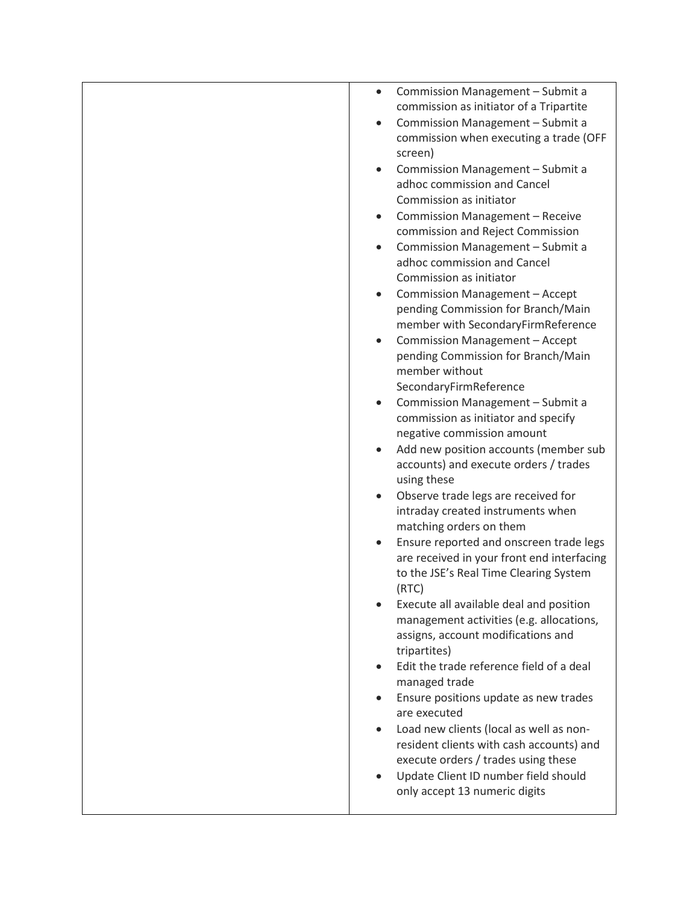| Commission Management - Submit a<br>$\bullet$                                  |
|--------------------------------------------------------------------------------|
| commission as initiator of a Tripartite                                        |
| Commission Management - Submit a<br>$\bullet$                                  |
| commission when executing a trade (OFF                                         |
| screen)                                                                        |
| Commission Management - Submit a                                               |
| adhoc commission and Cancel                                                    |
| Commission as initiator                                                        |
| <b>Commission Management - Receive</b><br>$\bullet$                            |
| commission and Reject Commission                                               |
| Commission Management - Submit a<br>$\bullet$                                  |
| adhoc commission and Cancel                                                    |
| Commission as initiator                                                        |
| Commission Management - Accept<br>$\bullet$                                    |
| pending Commission for Branch/Main                                             |
| member with SecondaryFirmReference                                             |
| Commission Management - Accept                                                 |
| pending Commission for Branch/Main                                             |
| member without                                                                 |
| SecondaryFirmReference                                                         |
| Commission Management - Submit a                                               |
| commission as initiator and specify                                            |
| negative commission amount                                                     |
| Add new position accounts (member sub                                          |
| accounts) and execute orders / trades                                          |
| using these                                                                    |
| Observe trade legs are received for<br>$\bullet$                               |
| intraday created instruments when                                              |
| matching orders on them                                                        |
| Ensure reported and onscreen trade legs                                        |
| are received in your front end interfacing                                     |
| to the JSE's Real Time Clearing System                                         |
| (RTC)                                                                          |
| Execute all available deal and position                                        |
| management activities (e.g. allocations,<br>assigns, account modifications and |
| tripartites)                                                                   |
| Edit the trade reference field of a deal<br>$\bullet$                          |
| managed trade                                                                  |
| Ensure positions update as new trades                                          |
| are executed                                                                   |
| Load new clients (local as well as non-                                        |
| resident clients with cash accounts) and                                       |
| execute orders / trades using these                                            |
| Update Client ID number field should                                           |
| only accept 13 numeric digits                                                  |
|                                                                                |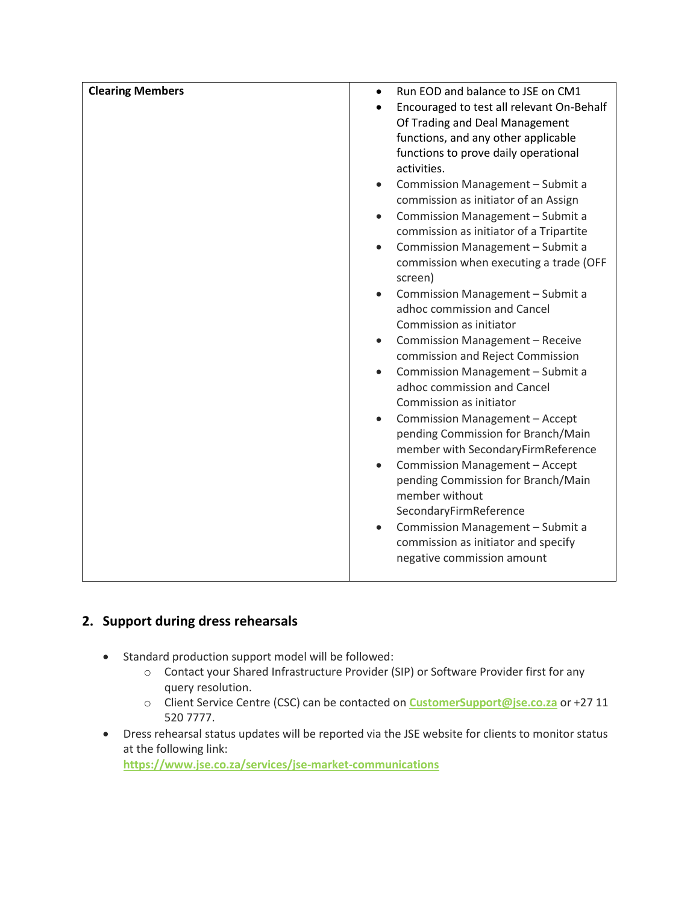| <b>Clearing Members</b> | Run EOD and balance to JSE on CM1<br>$\bullet$     |
|-------------------------|----------------------------------------------------|
|                         | Encouraged to test all relevant On-Behalf          |
|                         | Of Trading and Deal Management                     |
|                         | functions, and any other applicable                |
|                         | functions to prove daily operational               |
|                         | activities.                                        |
|                         | Commission Management - Submit a<br>$\bullet$      |
|                         | commission as initiator of an Assign               |
|                         | Commission Management - Submit a<br>$\bullet$      |
|                         | commission as initiator of a Tripartite            |
|                         | Commission Management - Submit a                   |
|                         | commission when executing a trade (OFF             |
|                         | screen)                                            |
|                         | Commission Management - Submit a                   |
|                         | adhoc commission and Cancel                        |
|                         | Commission as initiator                            |
|                         | Commission Management - Receive<br>$\bullet$       |
|                         | commission and Reject Commission                   |
|                         | Commission Management - Submit a<br>$\bullet$      |
|                         | adhoc commission and Cancel                        |
|                         | Commission as initiator                            |
|                         | Commission Management - Accept                     |
|                         | pending Commission for Branch/Main                 |
|                         | member with SecondaryFirmReference                 |
|                         | <b>Commission Management - Accept</b><br>$\bullet$ |
|                         | pending Commission for Branch/Main                 |
|                         | member without                                     |
|                         | SecondaryFirmReference                             |
|                         | Commission Management - Submit a<br>$\bullet$      |
|                         | commission as initiator and specify                |
|                         | negative commission amount                         |
|                         |                                                    |

## **2. Support during dress rehearsals**

- Standard production support model will be followed:
	- o Contact your Shared Infrastructure Provider (SIP) or Software Provider first for any query resolution.
	- o Client Service Centre (CSC) can be contacted on **[CustomerSupport@jse.co.za](mailto:CustomerSupport@jse.co.za)** or +27 11 520 7777.
- Dress rehearsal status updates will be reported via the JSE website for clients to monitor status at the following link: **<https://www.jse.co.za/services/jse-market-communications>**